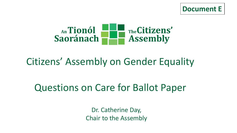



# Citizens' Assembly on Gender Equality

# Questions on Care for Ballot Paper

Dr. Catherine Day, Chair to the Assembly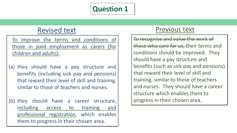## Revised text

To improve the terms and conditions of those in paid employment as carers (for children and adults):

- (a) they should have a pay structure and benefits (including sick pay and pensions) that reward their level of skill and training, similar to those of teachers and nurses.
- (b) they should have a career structure, including access to training and professional registration, which enables them to progress in their chosen area.

#### Previous text

To recognise and value the work of those who care for us, their terms and conditions should be improved. They should have a pay structure and benefits (such as sick pay and pensions) that reward their level of skill and training, similar to those of teachers and nurses. They should have a career structure which enables them to progress in their chosen area.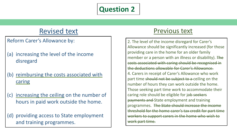## Revised text

Reform Carer's Allowance by:

- (a) increasing the level of the income disregard
- (b) reimbursing the costs associated with caring
- (c) increasing the ceiling on the number of hours in paid work outside the home.

(d) providing access to State employment and training programmes.

#### Previous text

2. The level of the income disregard for Carer's Allowance should be significantly increased (for those providing care in the home for an older family member or a person with an illness or disability). The costs associated with caring should be recognised in the deductions allowable for Carer's Allowance. 4. Carers in receipt of Carer's Allowance who work part time should not be subject to a ceiling on the number of hours they can work outside the home. Those seeking part time work to accommodate their caring role should be eligible for job seekers payments and State employment and training programmes. The State should increase the income threshold for the home carer's tax credit for part time workers to support carers in the home who wish to work part time.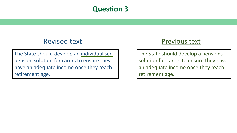## Revised text

The State should develop an individualised pension solution for carers to ensure they have an adequate income once they reach retirement age.

#### Previous text

The State should develop a pensions solution for carers to ensure they have an adequate income once they reach retirement age.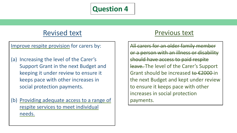## Revised text

#### Improve respite provision for carers by:

- (a) Increasing the level of the Carer's Support Grant in the next Budget and keeping it under review to ensure it keeps pace with other increases in social protection payments.
- (b) Providing adequate access to a range of respite services to meet individual needs.

#### Previous text

All carers for an older family member or a person with an illness or disability should have access to paid respite leave. The level of the Carer's Support Grant should be increased to  $\epsilon$ 2000 in the next Budget and kept under review to ensure it keeps pace with other increases in social protection payments.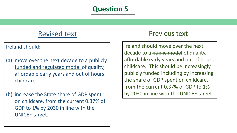## Revised text

#### Ireland should:

- (a) move over the next decade to a publicly funded and regulated model of quality, affordable early years and out of hours childcare
- (b) increase the State share of GDP spent on childcare, from the current 0.37% of GDP to 1% by 2030 in line with the UNICEF target.

## Previous text

Ireland should move over the next decade to a public model of quality, affordable early years and out of hours childcare. This should be increasingly publicly funded including by increasing the share of GDP spent on childcare, from the current 0.37% of GDP to 1% by 2030 in line with the UNICEF target.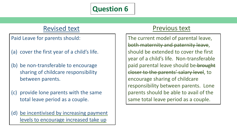## Revised text

Paid Leave for parents should:

- (a) cover the first year of a child's life.
- (b) be non-transferable to encourage sharing of childcare responsibility between parents.
- (c) provide lone parents with the same total leave period as a couple.

(d) be incentivised by increasing payment levels to encourage increased take up

#### Previous text

The current model of parental leave, both maternity and paternity leave, should be extended to cover the first year of a child's life. Non-transferable paid parental leave should be-brought closer to the parents' salary level, to encourage sharing of childcare responsibility between parents. Lone parents should be able to avail of the same total leave period as a couple.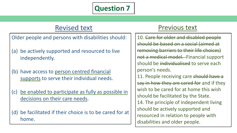## Revised text

Older people and persons with disabilities should:

- (a) be actively supported and resourced to live independently.
- (b) have access to person centred financial supports to serve their individual needs.
- (c) be enabled to participate as fully as possible in decisions on their care needs.
- (d) be facilitated if their choice is to be cared for at home.

#### Previous text

10. Care for older and disabled people should be based on a social (aimed at removing barriers to their life choices) not a medical model. Financial support should be individualised to serve each person's needs. 11. People receiving care should have a say in how they are cared for and if they wish to be cared for at home this wish should be facilitated by the State. 14. The principle of independent living should be actively supported and resourced in relation to people with disabilities and older people.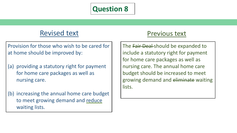## Revised text

Provision for those who wish to be cared for at home should be improved by:

- (a) providing a statutory right for payment for home care packages as well as nursing care.
- (b) increasing the annual home care budget to meet growing demand and reduce waiting lists.

## Previous text

The Fair Deal-should be expanded to include a statutory right for payment for home care packages as well as nursing care. The annual home care budget should be increased to meet growing demand and eliminate waiting lists.